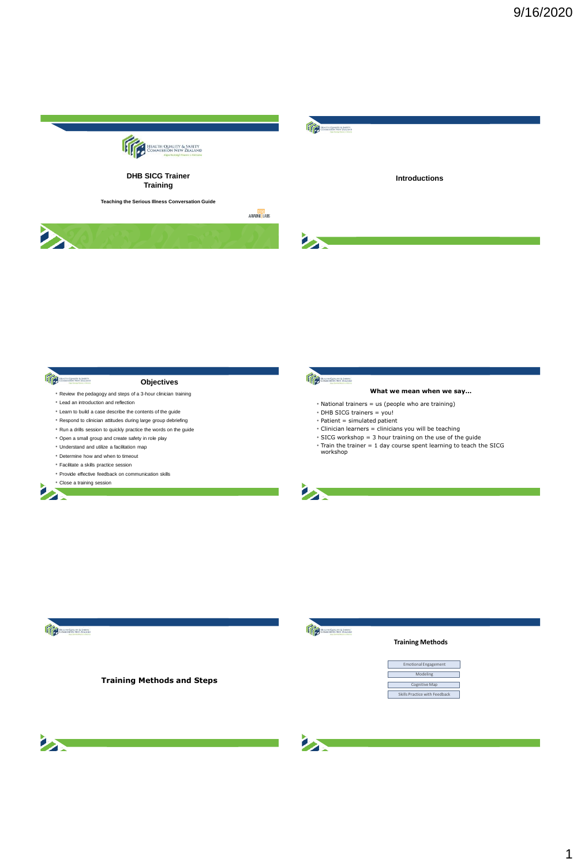



- 
- Provide effective feedback on communication skills
- 



- Facilitate a skills practice session
- 







Representation

# **Training Methods and Steps**



### **Training Methods**

| <b>Emotional Engagement</b>   |  |
|-------------------------------|--|
| Modeling                      |  |
| Cognitive Map                 |  |
| Skills Practice with Feedback |  |



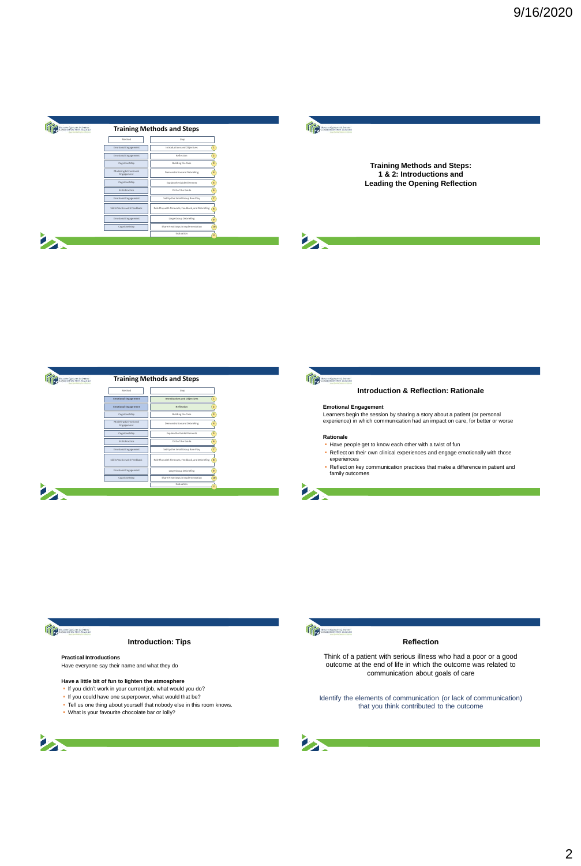



**Training Methods and Steps: 1 & 2: Introductions and Leading the Opening Reflection**





**A** 

### **Introduction & Reflection: Rationale**

# **Emotional Engagement**

Learners begin the session by sharing a story about a patient (or personal experience) in which communication had an impact on care, for better or worse

#### **Rationale**

**A** 

- Have people get to know each other with a twist of fun
- Reflect on their own clinical experiences and engage emotionally with those experiences
- . Reflect on key communication practices that make a difference in patient and family outcomes



### **Introduction: Tips**

### **Practical Introductions**

Have everyone say their name and what they do

- **Have a little bit of fun to lighten the atmosphere**
- . If you didn't work in your current job, what would you do?
- 
- If you could have one superpower, what would that be?<br>In Tell us one thing about yourself that nobody else in this room knows.
- What is your favourite chocolate bar or lolly?





# **Reflection**

Think of a patient with serious illness who had a poor or a good outcome at the end of life in which the outcome was related to communication about goals of care

Identify the elements of communication (or lack of communication) that you think contributed to the outcome

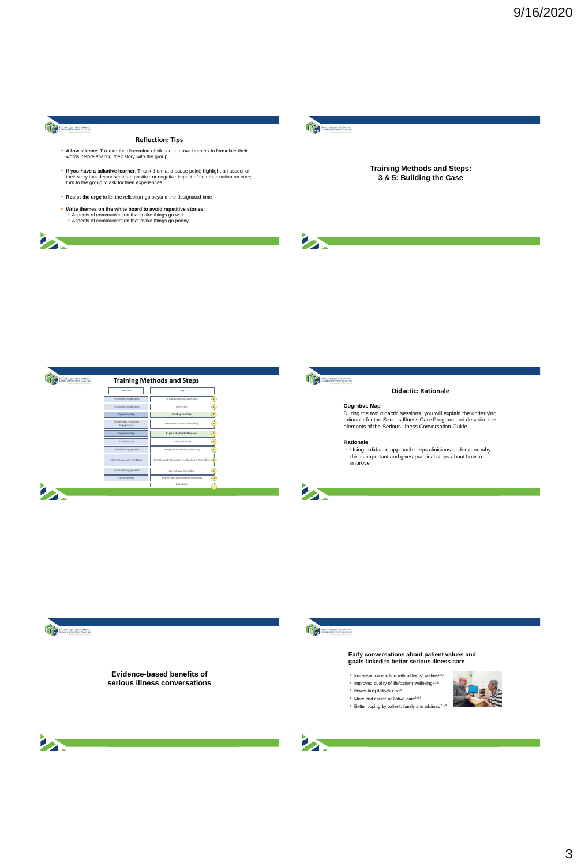

**BAT** 

### **Reflection: Tips**

- **Allow silence**: Tolerate the discomfort of silence to allow learners to formulate their words before sharing their story with the group
- **If you have a talkative learner:** Thank them at a pause point; highlight an aspect of their story that demonstrates a positive or negative impact of communication on care;<br>their story that demonstrates a positive or negat
- **Resist the urge** to let the reflection go beyond the designated time
- 
- **Write themes on the white board to avoid repetitive stories:**<br> **Aspects of communication that make things go well**<br> **Aspects of communication that make things go poorly**



**Training Methods and Steps: 3 & 5: Building the Case**







#### **Didactic: Rationale**

**Cognitive Map**<br>
During the two didactic sessions, you will explain the underlying<br>
rationale for the Serious Illness Care Program and describe the<br>
elements of the Serious Illness Conversation Guide

#### **Rationale**

 Using a didactic approach helps clinicians understand why this is important and gives practical steps about how to improve







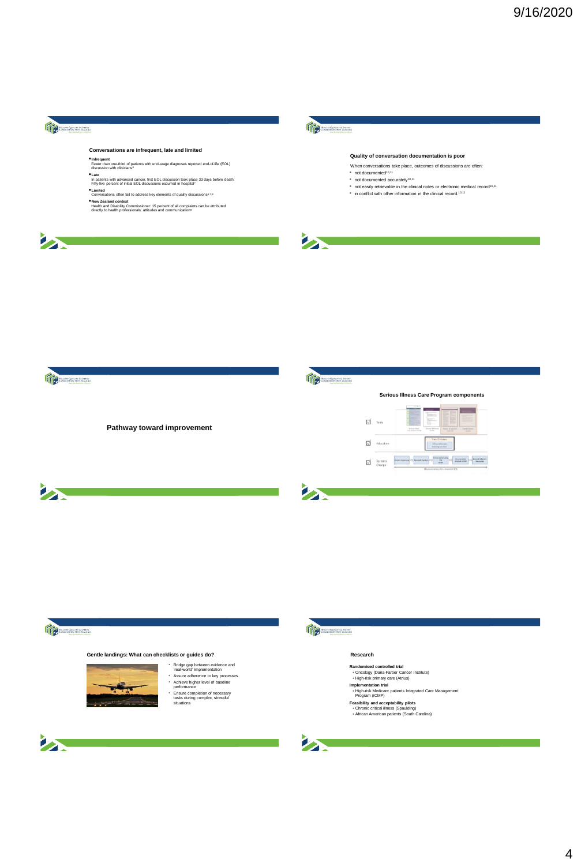# Representation

is a

# **Conversations are infrequent, late and limited**

•**Infrequent** Fewer than one-third of patients with end-stage diagnoses reported end-of-life (EOL) discussion with clinicians<sup>6</sup>

- 
- Late<br>In patients with advanced cancer, first EOL discussion took place 33 days before death.<br>Fifty-five percent of initial EOL discussions occurred in hospital<sup>7</sup><br>● Limited<br>Conversations often fail to address key elemen
- 
- 
- •**New Zealand context** Health and Disability Commissioner: 15 percent of all complaints can be attributed directly to health professionals' attitudes and communication<sup>9</sup>
- 



### **Quality of conversation documentation is poor**

When conversations take place, outcomes of discussions are often:

\* not documented<sup>10,11</sup>

- 
- \* not documented accurately<sup>10,11</sup><br>\* not easily retrievable in the clinical notes or electronic medical record<sup>10,11</sup><br>\* in conflict with other information in the clinical record.<sup>10,11</sup>
- 







# **George Street**

# **Gentle landings: What can checklists or guides do? Research**



- Bridge gap between evidence and 'real-world' implementation Assure adherence to key processes Achieve higher level of baseline performance Ensure completion of necessary tasks during complex, stressful situations
- 
- 
- 





- 
- 
- **Randomised controlled trial<br>• Oncology (Dana-Farber Cancer Institute)<br>• High-risk primary care (Atrius)<br><b>Implementation trial**<br>• High-risk Medicare patients Integrated Care Management<br>• Program (iCMP)
- 
- 
- **Feasibility and acceptability pilots** Chronic critical illness (Spaulding) African American patients (South Carolina)

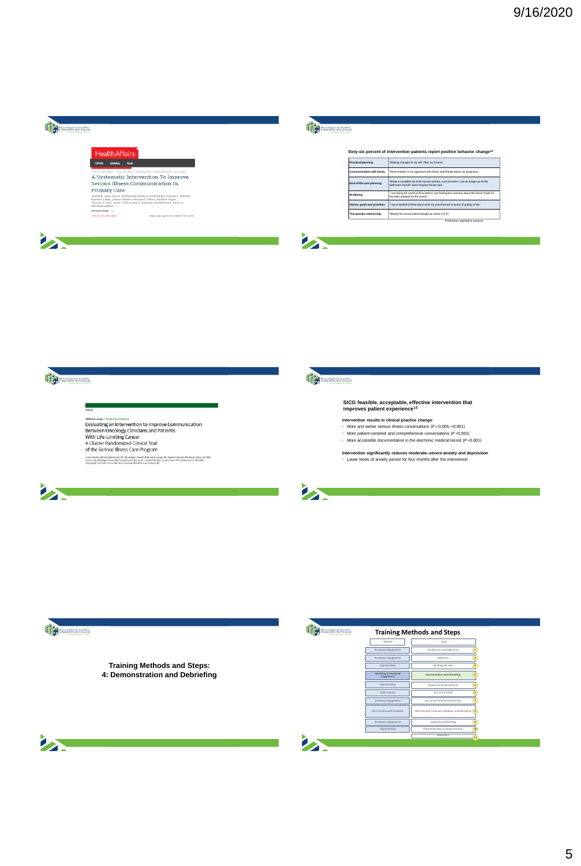| <b>FALTIN CHIALITY &amp; SMETY</b><br>SMAHINHOV NEW ZEALAND<br><b>Rang Surfind Education &amp; Antiques</b> |                                                                                 | <b>HALTH CEALITY &amp; SMETY</b><br>DMARTANON NEW ZEALAND<br><b>Planet Seattleber A Manhood Artists</b> |                                                                                                                                    |  |
|-------------------------------------------------------------------------------------------------------------|---------------------------------------------------------------------------------|---------------------------------------------------------------------------------------------------------|------------------------------------------------------------------------------------------------------------------------------------|--|
| <b>Health Affairs</b>                                                                                       |                                                                                 |                                                                                                         | Sixty-six percent of intervention patients report positive behavior change <sup>12</sup>                                           |  |
| 64.00<br><b>JOURNAL</b><br>TOPICS                                                                           |                                                                                 | Practical planning                                                                                      | 'Making changes to my will. Plan my funeral.'                                                                                      |  |
|                                                                                                             | HEALTH AFFAIRS > VOL. 36, NO. 7: ADVANCED ILLNESS & END-OF-LIFE CARE            | Communication with family                                                                               | 'More realistic in my approach with family and friends about my prognosis.'                                                        |  |
| Serious Illness Communication In                                                                            | A Systematic Intervention To Improve                                            | End-of-life care planning                                                                               | 'Made a complete list of all my last wishes, such as when I can no longer go to the<br>bathroom myself I want hospice house care." |  |
| <b>Primary Care</b>                                                                                         | Joshua R. Lakin, Luca A. Koritsanszky, Rebecca Cunningham, Francine L. Maloney, | Wellbeing                                                                                               | I am doing the same stuff as before, just feeling less arelous about the future (hope for<br>the best, prepare for the worst)."    |  |
| Brandon J. Neal, Joanna Paladino, Marissa C. Palmor, Christine Vogeli,<br>See fewer authors                 | Timothy G. Ferris, Susan D. Block, Atul A. Gawande, and Rachelle E. Bernacki    | Values, goals and priorities                                                                            | I have started to think about what my priorities are in terms of quality of life."                                                 |  |
| AFFILIATIONS V<br>PUR ISHED: JEEY 2017                                                                      | https://doi.org/10.1377/htthaff.2017.0219                                       | Therapeutic relationship                                                                                | 'Mostly the conversation brought us closer (Dr X).'                                                                                |  |
|                                                                                                             |                                                                                 |                                                                                                         | Preliminary qualitative analysis                                                                                                   |  |
|                                                                                                             |                                                                                 |                                                                                                         |                                                                                                                                    |  |



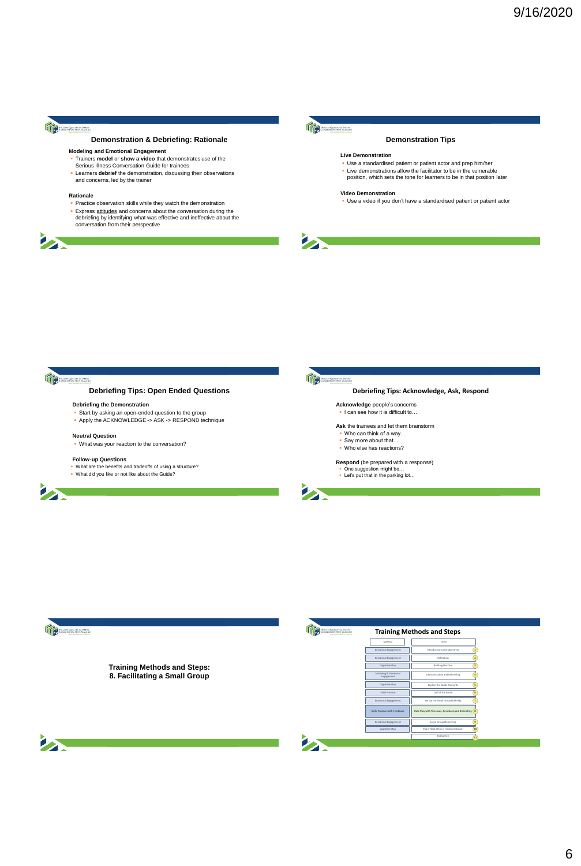

### **Demonstration & Debriefing: Rationale**

- **Modeling and Emotional Engagement<br>
<b>Trainers model or show a video** that demonstrates use of the<br>
Serious Illness Conversation Guide for trainees
- Learners **debrief** the demonstration, discussing their observations and concerns, led by the trainer

#### **Rationale**

**SERVICE** 

- Practice observation skills while they watch the demonstration
- **Express attitudes** and concerns about the conversation during the debriefing by identifying what was effective and ineffective about the conversation from their perspective



### **Demonstration Tips**

### **Live Demonstration**

- Use a standardised patient or patient actor and prep him/her
- Live demonstrations allow the facilitator to be in the vulnerable position, which sets the tone for learners to be in that position later

### **Video Demonstration**

Use a video if you don't have a standardised patient or patient actor

**BE** 



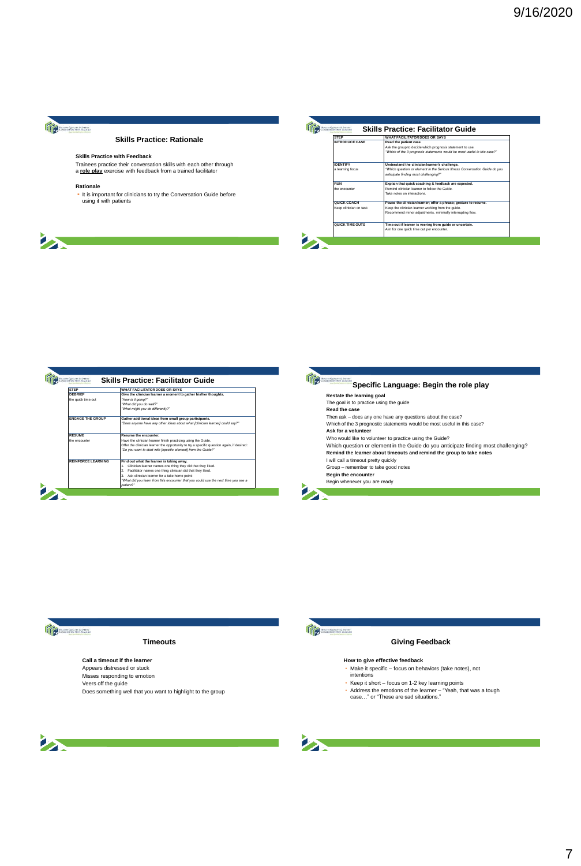

**BAR** 

# **Skills Practice: Rationale**

### **Skills Practice with Feedback**

Trainees practice their conversation skills with each other through a **role play** exercise with feedback from a trained facilitator

### **Rationale**

It is important for clinicians to try the Conversation Guide before using it with patients

| <b>STEP</b>            | <b>WHAT FACILITATOR DOES OR SAYS</b>                                        |
|------------------------|-----------------------------------------------------------------------------|
| <b>INTRODUCE CASE</b>  | Read the patient case.                                                      |
|                        | Ask the group to decide which prognosis statement to use.                   |
|                        | "Which of the 3 prognosis statements would be most useful in this case?"    |
| <b>IDENTIFY</b>        | Understand the clinician learner's challenge.                               |
| a learning focus       | "Which question or element in the Serious Illness Conversation Guide do you |
|                        | anticipate finding most challenging?"                                       |
| RUN                    | Explain that quick coaching & feedback are expected.                        |
| the encounter          | Remind clinician learner to follow the Guide                                |
|                        | Take notes on interactions.                                                 |
| QUICK COACH            | Pause the clinician learner: offer a phrase: gesture to resume.             |
| Keep clinician on task | Keep the clinician learner working from the quide.                          |
|                        | Recommend minor adjustments, minimally interrupting flow.                   |
| QUICK TIME OUTS        | Time out if learner is veering from guide or uncertain.                     |
|                        | Aim for one quick time out per encounter.                                   |

| <b>STEP</b>                    | WHAT FACILITATOR DOES OR SAYS                                                             |
|--------------------------------|-------------------------------------------------------------------------------------------|
| DEBRIFE                        | Give the clinician learner a moment to gather his/her thoughts.                           |
| the quick time out             | "How is it going?"                                                                        |
|                                | "What did you do well?"                                                                   |
|                                | "What might you do differently?"                                                          |
| <b><i>ENGAGE THE GROUP</i></b> | Gather additional ideas from small group participants.                                    |
|                                | "Does anyone have any other ideas about what Iclinician learner1 could say?"              |
| <b>RESUME</b>                  | Resume the encounter.                                                                     |
| the encounter                  | Have the clinician learner finish practicing using the Guide.                             |
|                                | Offer the clinician learner the opportunity to try a specific question again, if desired: |
|                                | "Do you want to start with [specific element] from the Guide?"                            |
| <b>REINFORCE LEARNING</b>      | Find out what the learner is taking away.                                                 |
|                                | Clinician learner names one thing they did that they liked.<br>1.                         |
|                                | Facilitator names one thing clinician did that they liked.<br>$\mathbf{2}$                |
|                                | 3. Ask clinician learner for a take home point:                                           |
|                                | "What did you learn from this encounter that you could use the next time you see a        |
|                                | patient?"                                                                                 |

| Restate the learning goal                                                          |
|------------------------------------------------------------------------------------|
| The goal is to practice using the guide                                            |
| Read the case                                                                      |
| Then ask - does any one have any questions about the case?                         |
| Which of the 3 prognostic statements would be most useful in this case?            |
| Ask for a volunteer                                                                |
| Who would like to volunteer to practice using the Guide?                           |
| Which question or element in the Guide do you anticipate finding most challenging? |
| Remind the learner about timeouts and remind the group to take notes               |
| I will call a timeout pretty quickly                                               |
| Group - remember to take good notes                                                |
| Begin the encounter                                                                |
| Begin whenever you are ready                                                       |



# **Timeouts**

**Call a timeout if the learner** Appears distressed or stuck Misses responding to emotion Veers off the guide Does something well that you want to highlight to the group



# **Giving Feedback**

- **How to give effective feedback** Make it specific focus on behaviors (take notes), not intentions
- 
- Keep it short focus on 1-2 key learning points Address the emotions of the learner "Yeah, that was a tough case…" or "These are sad situations."
- 



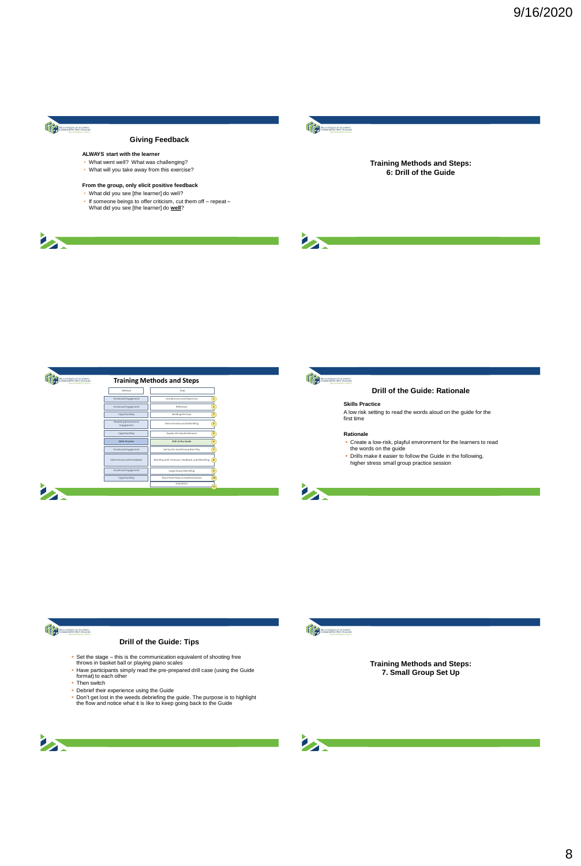

**BAR** 

# **Giving Feedback**

# **ALWAYS start with the learner**

- What went well? What was challenging?
- What will you take away from this exercise?

# **From the group, only elicit positive feedback** • What did you see [the learner] do well?

- 
- If someone beings to offer criticism, cut them off repeat What did you see [the learner] do **well**?



**Training Methods and Steps: 6: Drill of the Guide**







江

### **Drill of the Guide: Rationale**

### **Skills Practice**

A low risk setting to read the words aloud on the guide for the first time

- **Rationale**<br>
"Create a low-risk, playful environment for the learners to read<br>
the words on the guide<br>
"Drills make it easier to follow the Guide in the following,<br>
higher stress small group practice session
- 
- 



# **Drill of the Guide: Tips**

- 
- Set the stage this is the communication equivalent of shooting free throws in basket ball or playing piano scales Have participants simply read the pre-prepared drill case (using the Guide format) to each other
- **Then** switch
- **Debrief their experience using the Guide**
- Don't get lost in the weeds debriefing the guide. The purpose is to highlight the flow and notice what it is like to keep going back to the Guide



**Training Methods and Steps: 7. Small Group Set Up**



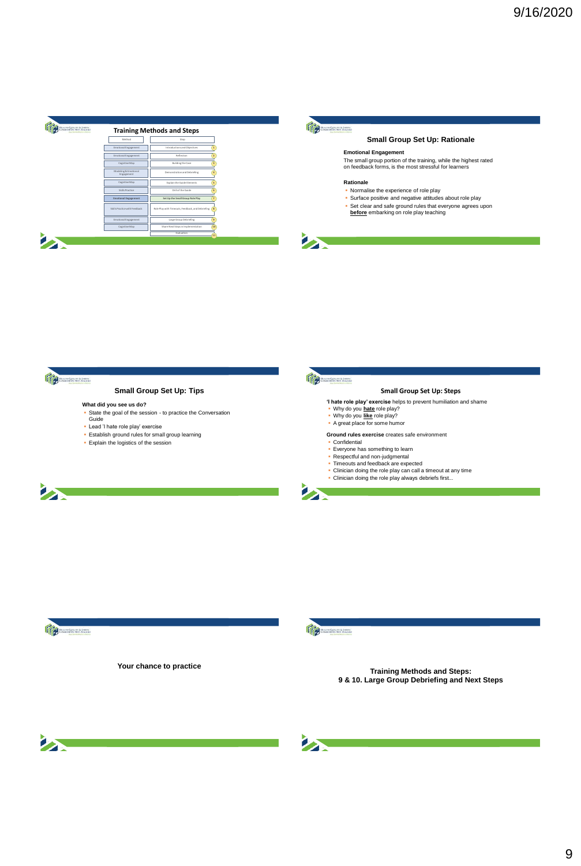



**SALE** 

# **Small Group Set Up: Rationale**

### **Emotional Engagement**

The small group portion of the training, while the highest rated on feedback forms, is the most stressful for learners

# **Rationale**

- Normalise the experience of role play
- **Surface positive and negative attitudes about role play**<br>• Set clear and safe ground rules that everyone agrees upon<br>• before embarking on role play teaching



# **Small Group Set Up: Tips**

# **What did you see us do?**

- State the goal of the session to practice the Conversation Guide
- Lead 'I hate role play' exercise
- 
- Establish ground rules for small group learning Explain the logistics of the session



**A** 

# **Small Group Set Up: Steps**

- **'I hate role play' exercise** helps to prevent humiliation and shame
	-
- Why do you **hate** role play? Why do you **like** role play? A great place for some humor
- 

**Ground rules exercise** creates safe environment • Confidential

- 
- Everyone has something to learn Respectful and non-judgmental
- 
- Timeouts and feedback are expected Clinician doing the role play can call a timeout at any time
- Clinician doing the role play always debriefs first...







**Your chance to practice Training Methods and Steps: 9 & 10. Large Group Debriefing and Next Steps**